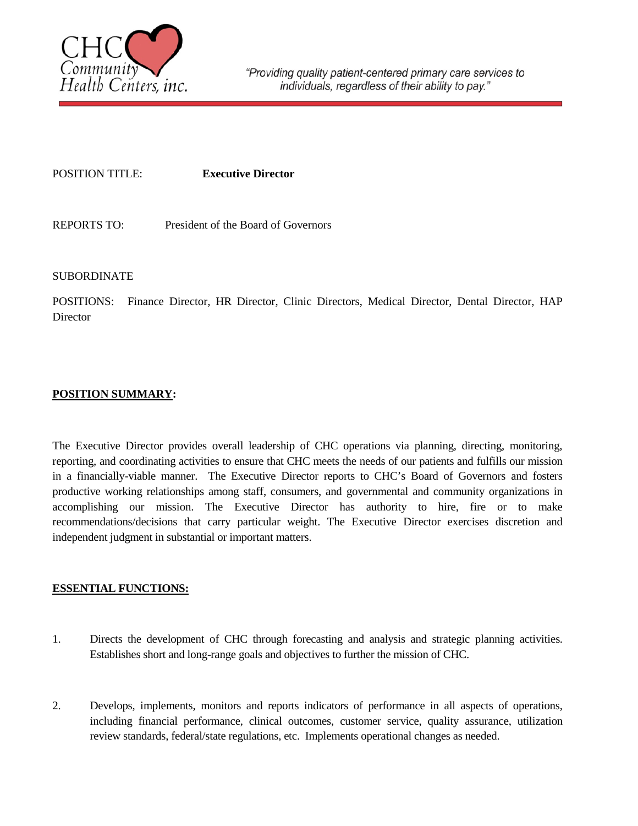

#### POSITION TITLE: **Executive Director**

REPORTS TO: President of the Board of Governors

## SUBORDINATE

POSITIONS: Finance Director, HR Director, Clinic Directors, Medical Director, Dental Director, HAP **Director** 

## **POSITION SUMMARY:**

The Executive Director provides overall leadership of CHC operations via planning, directing, monitoring, reporting, and coordinating activities to ensure that CHC meets the needs of our patients and fulfills our mission in a financially-viable manner. The Executive Director reports to CHC's Board of Governors and fosters productive working relationships among staff, consumers, and governmental and community organizations in accomplishing our mission. The Executive Director has authority to hire, fire or to make recommendations/decisions that carry particular weight. The Executive Director exercises discretion and independent judgment in substantial or important matters.

## **ESSENTIAL FUNCTIONS:**

- 1. Directs the development of CHC through forecasting and analysis and strategic planning activities. Establishes short and long-range goals and objectives to further the mission of CHC.
- 2. Develops, implements, monitors and reports indicators of performance in all aspects of operations, including financial performance, clinical outcomes, customer service, quality assurance, utilization review standards, federal/state regulations, etc. Implements operational changes as needed.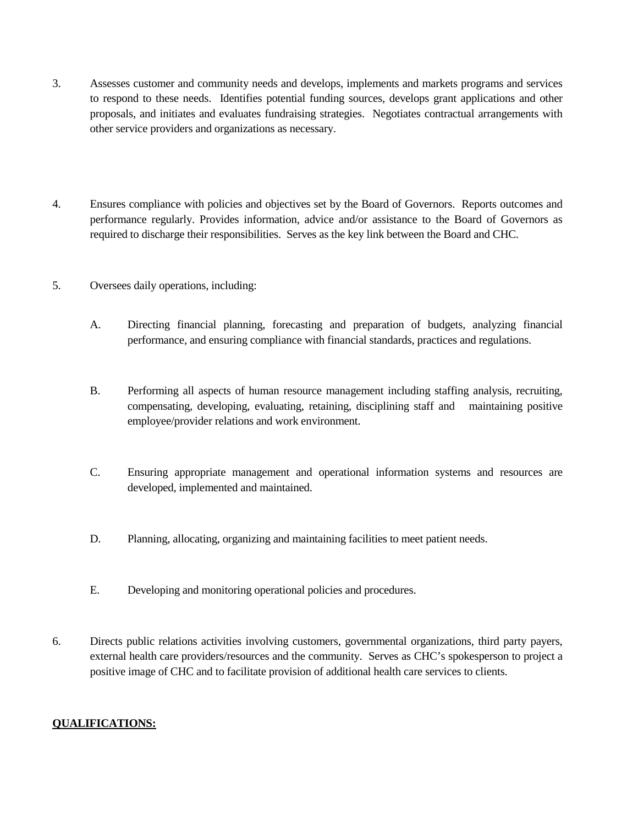- 3. Assesses customer and community needs and develops, implements and markets programs and services to respond to these needs. Identifies potential funding sources, develops grant applications and other proposals, and initiates and evaluates fundraising strategies. Negotiates contractual arrangements with other service providers and organizations as necessary.
- 4. Ensures compliance with policies and objectives set by the Board of Governors. Reports outcomes and performance regularly. Provides information, advice and/or assistance to the Board of Governors as required to discharge their responsibilities. Serves as the key link between the Board and CHC.
- 5. Oversees daily operations, including:
	- A. Directing financial planning, forecasting and preparation of budgets, analyzing financial performance, and ensuring compliance with financial standards, practices and regulations.
	- B. Performing all aspects of human resource management including staffing analysis, recruiting, compensating, developing, evaluating, retaining, disciplining staff and maintaining positive employee/provider relations and work environment.
	- C. Ensuring appropriate management and operational information systems and resources are developed, implemented and maintained.
	- D. Planning, allocating, organizing and maintaining facilities to meet patient needs.
	- E. Developing and monitoring operational policies and procedures.
- 6. Directs public relations activities involving customers, governmental organizations, third party payers, external health care providers/resources and the community. Serves as CHC's spokesperson to project a positive image of CHC and to facilitate provision of additional health care services to clients.

# **QUALIFICATIONS:**